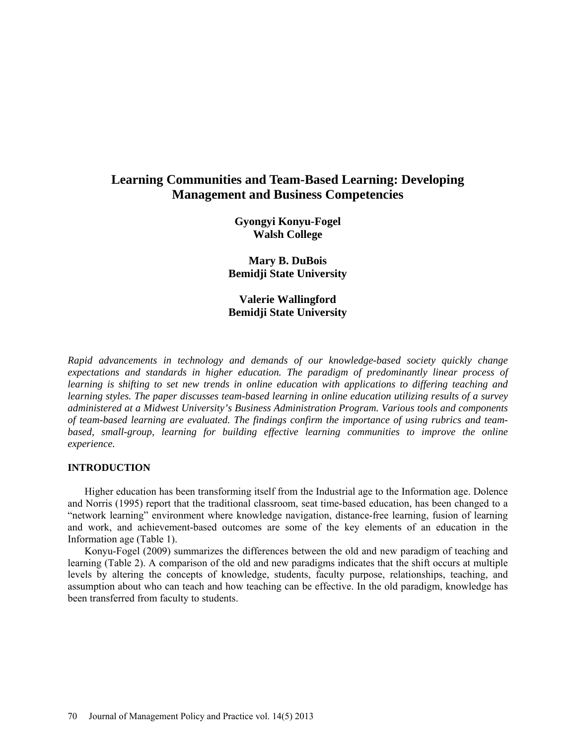# **Learning Communities and Team-Based Learning: Developing Management and Business Competencies**

**Gyongyi Konyu-Fogel Walsh College** 

**Mary B. DuBois Bemidji State University**

**Valerie Wallingford Bemidji State University**

*Rapid advancements in technology and demands of our knowledge-based society quickly change expectations and standards in higher education. The paradigm of predominantly linear process of learning is shifting to set new trends in online education with applications to differing teaching and learning styles. The paper discusses team-based learning in online education utilizing results of a survey administered at a Midwest University's Business Administration Program. Various tools and components of team-based learning are evaluated. The findings confirm the importance of using rubrics and teambased, small-group, learning for building effective learning communities to improve the online experience.*

#### **INTRODUCTION**

Higher education has been transforming itself from the Industrial age to the Information age. Dolence and Norris (1995) report that the traditional classroom, seat time-based education, has been changed to a "network learning" environment where knowledge navigation, distance-free learning, fusion of learning and work, and achievement-based outcomes are some of the key elements of an education in the Information age (Table 1).

Konyu-Fogel (2009) summarizes the differences between the old and new paradigm of teaching and learning (Table 2). A comparison of the old and new paradigms indicates that the shift occurs at multiple levels by altering the concepts of knowledge, students, faculty purpose, relationships, teaching, and assumption about who can teach and how teaching can be effective. In the old paradigm, knowledge has been transferred from faculty to students.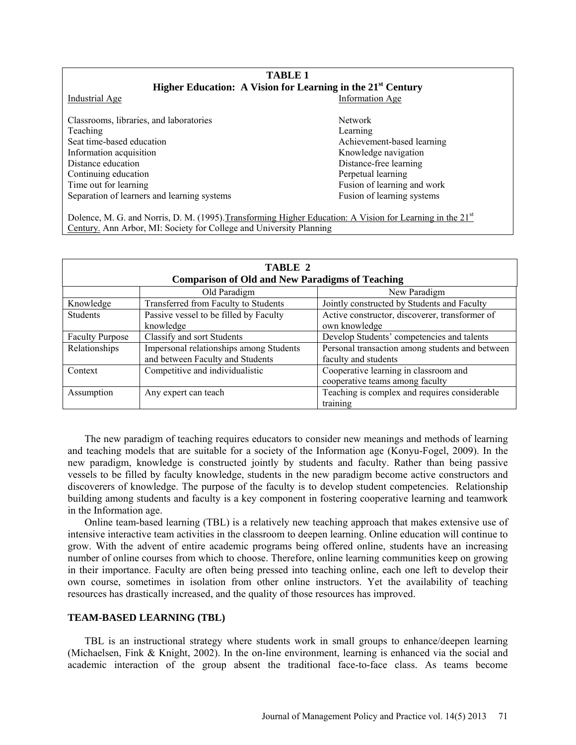# **TABLE 1 Higher Education: A Vision for Learning in the 21st Century**

Industrial Age Information Age

Classrooms, libraries, and laboratories Network Teaching Learning Learning Seat time-based education and according the Achievement-based learning Information acquisition acquisition acquisition acquisition Research Contract and American Research Research Research Research Research Research Research Research Research Research Research Research Research Research Resea Distance education Distance-free learning Continuing education **Perpetual learning** Time out for learning Fusion of learning and work Separation of learners and learning systems Fusion of learning systems Fusion of learning systems

Dolence, M. G. and Norris, D. M. (1995). Transforming Higher Education: A Vision for Learning in the 21<sup>st</sup> Century. Ann Arbor, MI: Society for College and University Planning

| TABLE 2<br><b>Comparison of Old and New Paradigms of Teaching</b> |                                         |                                                 |
|-------------------------------------------------------------------|-----------------------------------------|-------------------------------------------------|
|                                                                   | Old Paradigm                            | New Paradigm                                    |
| Knowledge                                                         | Transferred from Faculty to Students    | Jointly constructed by Students and Faculty     |
| <b>Students</b>                                                   | Passive vessel to be filled by Faculty  | Active constructor, discoverer, transformer of  |
|                                                                   | knowledge                               | own knowledge                                   |
| <b>Faculty Purpose</b>                                            | Classify and sort Students              | Develop Students' competencies and talents      |
| Relationships                                                     | Impersonal relationships among Students | Personal transaction among students and between |
|                                                                   | and between Faculty and Students        | faculty and students                            |
| Context                                                           | Competitive and individualistic         | Cooperative learning in classroom and           |
|                                                                   |                                         | cooperative teams among faculty                 |
| Assumption                                                        | Any expert can teach                    | Teaching is complex and requires considerable   |
|                                                                   |                                         | training                                        |

The new paradigm of teaching requires educators to consider new meanings and methods of learning and teaching models that are suitable for a society of the Information age (Konyu-Fogel, 2009). In the new paradigm, knowledge is constructed jointly by students and faculty. Rather than being passive vessels to be filled by faculty knowledge, students in the new paradigm become active constructors and discoverers of knowledge. The purpose of the faculty is to develop student competencies. Relationship building among students and faculty is a key component in fostering cooperative learning and teamwork in the Information age.

Online team-based learning (TBL) is a relatively new teaching approach that makes extensive use of intensive interactive team activities in the classroom to deepen learning. Online education will continue to grow. With the advent of entire academic programs being offered online, students have an increasing number of online courses from which to choose. Therefore, online learning communities keep on growing in their importance. Faculty are often being pressed into teaching online, each one left to develop their own course, sometimes in isolation from other online instructors. Yet the availability of teaching resources has drastically increased, and the quality of those resources has improved.

#### **TEAM-BASED LEARNING (TBL)**

TBL is an instructional strategy where students work in small groups to enhance/deepen learning (Michaelsen, Fink & Knight, 2002). In the on-line environment, learning is enhanced via the social and academic interaction of the group absent the traditional face-to-face class. As teams become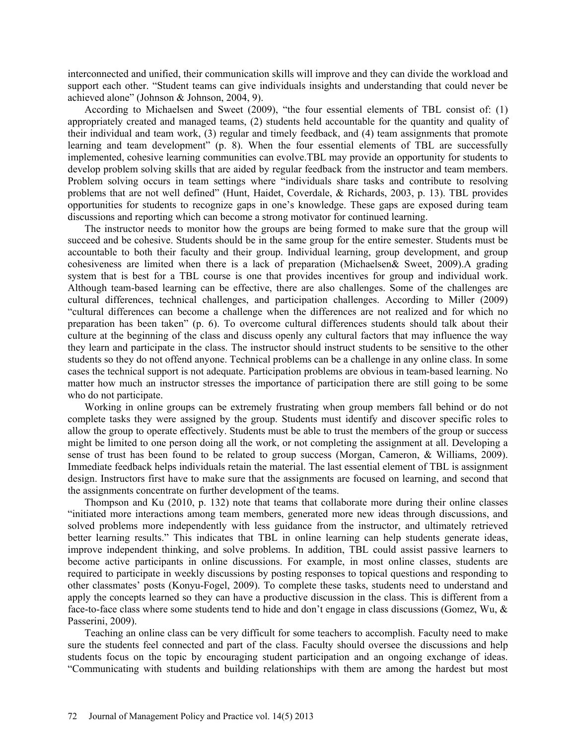interconnected and unified, their communication skills will improve and they can divide the workload and support each other. "Student teams can give individuals insights and understanding that could never be achieved alone" (Johnson & Johnson, 2004, 9).

According to Michaelsen and Sweet (2009), "the four essential elements of TBL consist of: (1) appropriately created and managed teams, (2) students held accountable for the quantity and quality of their individual and team work, (3) regular and timely feedback, and (4) team assignments that promote learning and team development" (p. 8). When the four essential elements of TBL are successfully implemented, cohesive learning communities can evolve.TBL may provide an opportunity for students to develop problem solving skills that are aided by regular feedback from the instructor and team members. Problem solving occurs in team settings where "individuals share tasks and contribute to resolving problems that are not well defined" (Hunt, Haidet, Coverdale, & Richards, 2003, p. 13). TBL provides opportunities for students to recognize gaps in one's knowledge. These gaps are exposed during team discussions and reporting which can become a strong motivator for continued learning.

The instructor needs to monitor how the groups are being formed to make sure that the group will succeed and be cohesive. Students should be in the same group for the entire semester. Students must be accountable to both their faculty and their group. Individual learning, group development, and group cohesiveness are limited when there is a lack of preparation (Michaelsen& Sweet, 2009).A grading system that is best for a TBL course is one that provides incentives for group and individual work. Although team-based learning can be effective, there are also challenges. Some of the challenges are cultural differences, technical challenges, and participation challenges. According to Miller (2009) "cultural differences can become a challenge when the differences are not realized and for which no preparation has been taken" (p. 6). To overcome cultural differences students should talk about their culture at the beginning of the class and discuss openly any cultural factors that may influence the way they learn and participate in the class. The instructor should instruct students to be sensitive to the other students so they do not offend anyone. Technical problems can be a challenge in any online class. In some cases the technical support is not adequate. Participation problems are obvious in team-based learning. No matter how much an instructor stresses the importance of participation there are still going to be some who do not participate.

Working in online groups can be extremely frustrating when group members fall behind or do not complete tasks they were assigned by the group. Students must identify and discover specific roles to allow the group to operate effectively. Students must be able to trust the members of the group or success might be limited to one person doing all the work, or not completing the assignment at all. Developing a sense of trust has been found to be related to group success (Morgan, Cameron, & Williams, 2009). Immediate feedback helps individuals retain the material. The last essential element of TBL is assignment design. Instructors first have to make sure that the assignments are focused on learning, and second that the assignments concentrate on further development of the teams.

Thompson and Ku (2010, p. 132) note that teams that collaborate more during their online classes "initiated more interactions among team members, generated more new ideas through discussions, and solved problems more independently with less guidance from the instructor, and ultimately retrieved better learning results." This indicates that TBL in online learning can help students generate ideas, improve independent thinking, and solve problems. In addition, TBL could assist passive learners to become active participants in online discussions. For example, in most online classes, students are required to participate in weekly discussions by posting responses to topical questions and responding to other classmates' posts (Konyu-Fogel, 2009). To complete these tasks, students need to understand and apply the concepts learned so they can have a productive discussion in the class. This is different from a face-to-face class where some students tend to hide and don't engage in class discussions (Gomez, Wu, & Passerini, 2009).

Teaching an online class can be very difficult for some teachers to accomplish. Faculty need to make sure the students feel connected and part of the class. Faculty should oversee the discussions and help students focus on the topic by encouraging student participation and an ongoing exchange of ideas. "Communicating with students and building relationships with them are among the hardest but most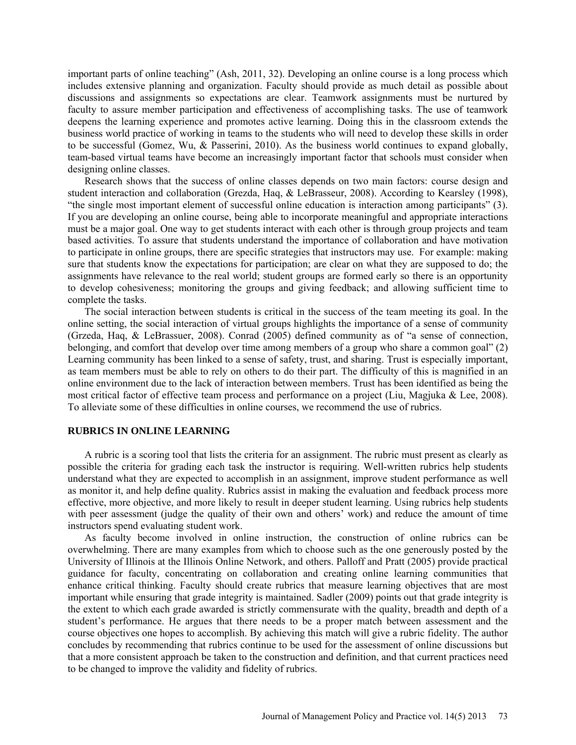important parts of online teaching" (Ash, 2011, 32). Developing an online course is a long process which includes extensive planning and organization. Faculty should provide as much detail as possible about discussions and assignments so expectations are clear. Teamwork assignments must be nurtured by faculty to assure member participation and effectiveness of accomplishing tasks. The use of teamwork deepens the learning experience and promotes active learning. Doing this in the classroom extends the business world practice of working in teams to the students who will need to develop these skills in order to be successful (Gomez, Wu, & Passerini, 2010). As the business world continues to expand globally, team-based virtual teams have become an increasingly important factor that schools must consider when designing online classes.

Research shows that the success of online classes depends on two main factors: course design and student interaction and collaboration (Grezda, Haq, & LeBrasseur, 2008). According to Kearsley (1998), "the single most important element of successful online education is interaction among participants" (3). If you are developing an online course, being able to incorporate meaningful and appropriate interactions must be a major goal. One way to get students interact with each other is through group projects and team based activities. To assure that students understand the importance of collaboration and have motivation to participate in online groups, there are specific strategies that instructors may use. For example: making sure that students know the expectations for participation; are clear on what they are supposed to do; the assignments have relevance to the real world; student groups are formed early so there is an opportunity to develop cohesiveness; monitoring the groups and giving feedback; and allowing sufficient time to complete the tasks.

The social interaction between students is critical in the success of the team meeting its goal. In the online setting, the social interaction of virtual groups highlights the importance of a sense of community (Grzeda, Haq, & LeBrassuer, 2008). Conrad (2005) defined community as of "a sense of connection, belonging, and comfort that develop over time among members of a group who share a common goal" (2) Learning community has been linked to a sense of safety, trust, and sharing. Trust is especially important, as team members must be able to rely on others to do their part. The difficulty of this is magnified in an online environment due to the lack of interaction between members. Trust has been identified as being the most critical factor of effective team process and performance on a project (Liu, Magjuka & Lee, 2008). To alleviate some of these difficulties in online courses, we recommend the use of rubrics.

#### **RUBRICS IN ONLINE LEARNING**

A rubric is a scoring tool that lists the criteria for an assignment. The rubric must present as clearly as possible the criteria for grading each task the instructor is requiring. Well-written rubrics help students understand what they are expected to accomplish in an assignment, improve student performance as well as monitor it, and help define quality. Rubrics assist in making the evaluation and feedback process more effective, more objective, and more likely to result in deeper student learning. Using rubrics help students with peer assessment (judge the quality of their own and others' work) and reduce the amount of time instructors spend evaluating student work.

As faculty become involved in online instruction, the construction of online rubrics can be overwhelming. There are many examples from which to choose such as the one generously posted by the University of Illinois at the Illinois Online Network, and others. Palloff and Pratt (2005) provide practical guidance for faculty, concentrating on collaboration and creating online learning communities that enhance critical thinking. Faculty should create rubrics that measure learning objectives that are most important while ensuring that grade integrity is maintained. Sadler (2009) points out that grade integrity is the extent to which each grade awarded is strictly commensurate with the quality, breadth and depth of a student's performance. He argues that there needs to be a proper match between assessment and the course objectives one hopes to accomplish. By achieving this match will give a rubric fidelity. The author concludes by recommending that rubrics continue to be used for the assessment of online discussions but that a more consistent approach be taken to the construction and definition, and that current practices need to be changed to improve the validity and fidelity of rubrics.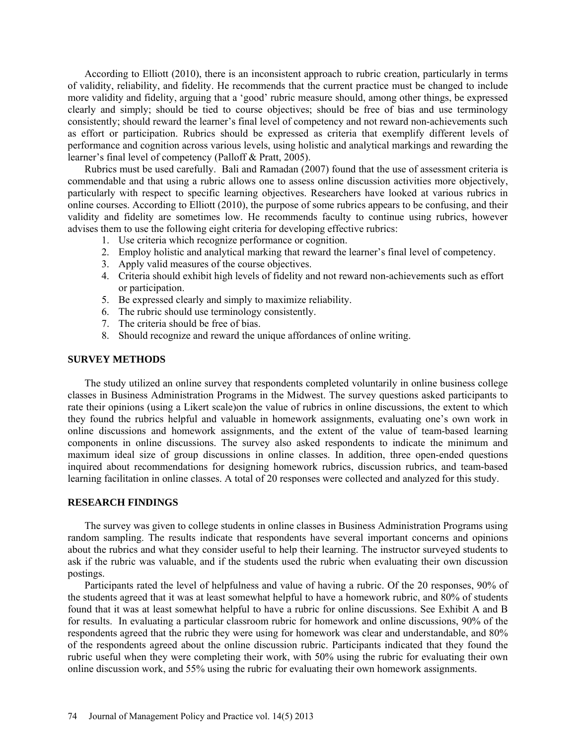According to Elliott (2010), there is an inconsistent approach to rubric creation, particularly in terms of validity, reliability, and fidelity. He recommends that the current practice must be changed to include more validity and fidelity, arguing that a 'good' rubric measure should, among other things, be expressed clearly and simply; should be tied to course objectives; should be free of bias and use terminology consistently; should reward the learner's final level of competency and not reward non-achievements such as effort or participation. Rubrics should be expressed as criteria that exemplify different levels of performance and cognition across various levels, using holistic and analytical markings and rewarding the learner's final level of competency (Palloff & Pratt, 2005).

Rubrics must be used carefully. Bali and Ramadan (2007) found that the use of assessment criteria is commendable and that using a rubric allows one to assess online discussion activities more objectively, particularly with respect to specific learning objectives. Researchers have looked at various rubrics in online courses. According to Elliott (2010), the purpose of some rubrics appears to be confusing, and their validity and fidelity are sometimes low. He recommends faculty to continue using rubrics, however advises them to use the following eight criteria for developing effective rubrics:

- 1. Use criteria which recognize performance or cognition.
- 2. Employ holistic and analytical marking that reward the learner's final level of competency.
- 3. Apply valid measures of the course objectives.
- 4. Criteria should exhibit high levels of fidelity and not reward non-achievements such as effort or participation.
- 5. Be expressed clearly and simply to maximize reliability.
- 6. The rubric should use terminology consistently.
- 7. The criteria should be free of bias.
- 8. Should recognize and reward the unique affordances of online writing.

#### **SURVEY METHODS**

The study utilized an online survey that respondents completed voluntarily in online business college classes in Business Administration Programs in the Midwest. The survey questions asked participants to rate their opinions (using a Likert scale)on the value of rubrics in online discussions, the extent to which they found the rubrics helpful and valuable in homework assignments, evaluating one's own work in online discussions and homework assignments, and the extent of the value of team-based learning components in online discussions. The survey also asked respondents to indicate the minimum and maximum ideal size of group discussions in online classes. In addition, three open-ended questions inquired about recommendations for designing homework rubrics, discussion rubrics, and team-based learning facilitation in online classes. A total of 20 responses were collected and analyzed for this study.

#### **RESEARCH FINDINGS**

The survey was given to college students in online classes in Business Administration Programs using random sampling. The results indicate that respondents have several important concerns and opinions about the rubrics and what they consider useful to help their learning. The instructor surveyed students to ask if the rubric was valuable, and if the students used the rubric when evaluating their own discussion postings.

Participants rated the level of helpfulness and value of having a rubric. Of the 20 responses, 90% of the students agreed that it was at least somewhat helpful to have a homework rubric, and 80% of students found that it was at least somewhat helpful to have a rubric for online discussions. See Exhibit A and B for results. In evaluating a particular classroom rubric for homework and online discussions, 90% of the respondents agreed that the rubric they were using for homework was clear and understandable, and 80% of the respondents agreed about the online discussion rubric. Participants indicated that they found the rubric useful when they were completing their work, with 50% using the rubric for evaluating their own online discussion work, and 55% using the rubric for evaluating their own homework assignments.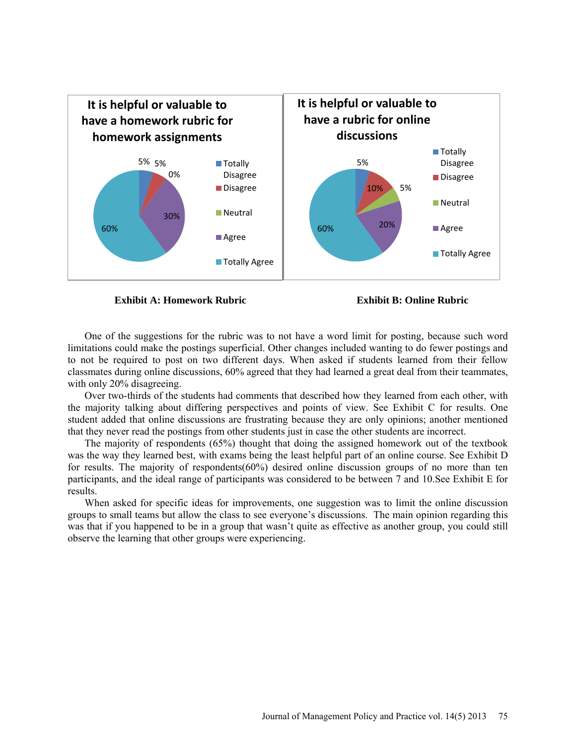

**Exhibit A: Homework Rubric Exhibit B: Online Rubric**

One of the suggestions for the rubric was to not have a word limit for posting, because such word limitations could make the postings superficial. Other changes included wanting to do fewer postings and to not be required to post on two different days. When asked if students learned from their fellow classmates during online discussions, 60% agreed that they had learned a great deal from their teammates, with only 20% disagreeing.

Over two-thirds of the students had comments that described how they learned from each other, with the majority talking about differing perspectives and points of view. See Exhibit C for results. One student added that online discussions are frustrating because they are only opinions; another mentioned that they never read the postings from other students just in case the other students are incorrect.

The majority of respondents (65%) thought that doing the assigned homework out of the textbook was the way they learned best, with exams being the least helpful part of an online course. See Exhibit D for results. The majority of respondents(60%) desired online discussion groups of no more than ten participants, and the ideal range of participants was considered to be between 7 and 10.See Exhibit E for results.

When asked for specific ideas for improvements, one suggestion was to limit the online discussion groups to small teams but allow the class to see everyone's discussions. The main opinion regarding this was that if you happened to be in a group that wasn't quite as effective as another group, you could still observe the learning that other groups were experiencing.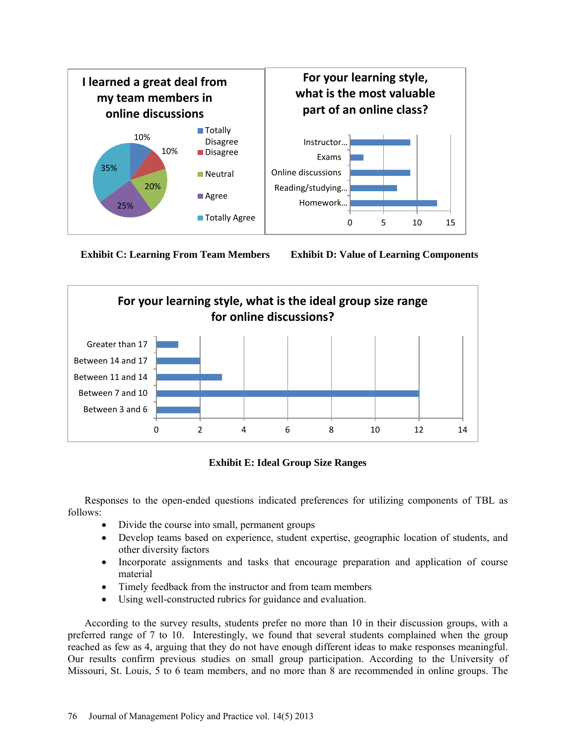





**Exhibit E: Ideal Group Size Ranges**

Responses to the open-ended questions indicated preferences for utilizing components of TBL as follows:

- Divide the course into small, permanent groups
- Develop teams based on experience, student expertise, geographic location of students, and other diversity factors
- Incorporate assignments and tasks that encourage preparation and application of course material
- Timely feedback from the instructor and from team members
- Using well-constructed rubrics for guidance and evaluation.

According to the survey results, students prefer no more than 10 in their discussion groups, with a preferred range of 7 to 10. Interestingly, we found that several students complained when the group reached as few as 4, arguing that they do not have enough different ideas to make responses meaningful. Our results confirm previous studies on small group participation. According to the University of Missouri, St. Louis, 5 to 6 team members, and no more than 8 are recommended in online groups. The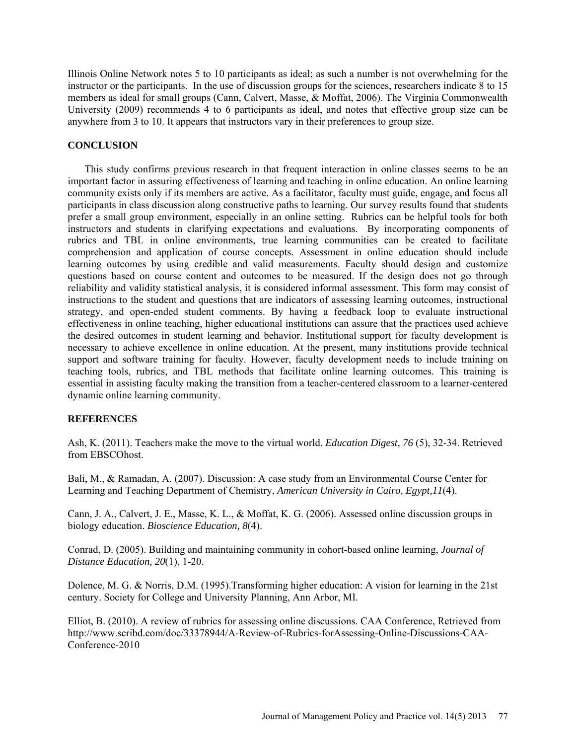Illinois Online Network notes 5 to 10 participants as ideal; as such a number is not overwhelming for the instructor or the participants. In the use of discussion groups for the sciences, researchers indicate 8 to 15 members as ideal for small groups (Cann, Calvert, Masse, & Moffat, 2006). The Virginia Commonwealth University (2009) recommends 4 to 6 participants as ideal, and notes that effective group size can be anywhere from 3 to 10. It appears that instructors vary in their preferences to group size.

## **CONCLUSION**

This study confirms previous research in that frequent interaction in online classes seems to be an important factor in assuring effectiveness of learning and teaching in online education. An online learning community exists only if its members are active. As a facilitator, faculty must guide, engage, and focus all participants in class discussion along constructive paths to learning. Our survey results found that students prefer a small group environment, especially in an online setting. Rubrics can be helpful tools for both instructors and students in clarifying expectations and evaluations. By incorporating components of rubrics and TBL in online environments, true learning communities can be created to facilitate comprehension and application of course concepts. Assessment in online education should include learning outcomes by using credible and valid measurements. Faculty should design and customize questions based on course content and outcomes to be measured. If the design does not go through reliability and validity statistical analysis, it is considered informal assessment. This form may consist of instructions to the student and questions that are indicators of assessing learning outcomes, instructional strategy, and open-ended student comments. By having a feedback loop to evaluate instructional effectiveness in online teaching, higher educational institutions can assure that the practices used achieve the desired outcomes in student learning and behavior. Institutional support for faculty development is necessary to achieve excellence in online education. At the present, many institutions provide technical support and software training for faculty. However, faculty development needs to include training on teaching tools, rubrics, and TBL methods that facilitate online learning outcomes. This training is essential in assisting faculty making the transition from a teacher-centered classroom to a learner-centered dynamic online learning community.

## **REFERENCES**

Ash, K. (2011). Teachers make the move to the virtual world. *Education Digest*, *76* (5), 32-34. Retrieved from EBSCOhost.

Bali, M., & Ramadan, A. (2007). Discussion: A case study from an Environmental Course Center for Learning and Teaching Department of Chemistry, *American University in Cairo, Egypt,11*(4).

Cann, J. A., Calvert, J. E., Masse, K. L., & Moffat, K. G. (2006). Assessed online discussion groups in biology education. *Bioscience Education, 8*(4).

Conrad, D. (2005). Building and maintaining community in cohort-based online learning, *Journal of Distance Education, 20*(1), 1-20.

Dolence, M. G. & Norris, D.M. (1995).Transforming higher education: A vision for learning in the 21st century. Society for College and University Planning, Ann Arbor, MI.

Elliot, B. (2010). [A review of rubrics for assessing online discussions. CAA Conference,](http://www.scribd.com/doc/33378944/A-Review-of-Rubrics-for-Assessing-Online-Discussions-CAA-Conference-2010) Retrieved from [http://www.scribd.com/doc/33378944/A-Review-of-Rubrics-forAssessing-Online-Discussions-CAA-](http://www.scribd.com/doc/33378944/A-Review-of-Rubrics-forAssessing-Online-Discussions-CAA-Conference-2010)[Conference-2010](http://www.scribd.com/doc/33378944/A-Review-of-Rubrics-forAssessing-Online-Discussions-CAA-Conference-2010)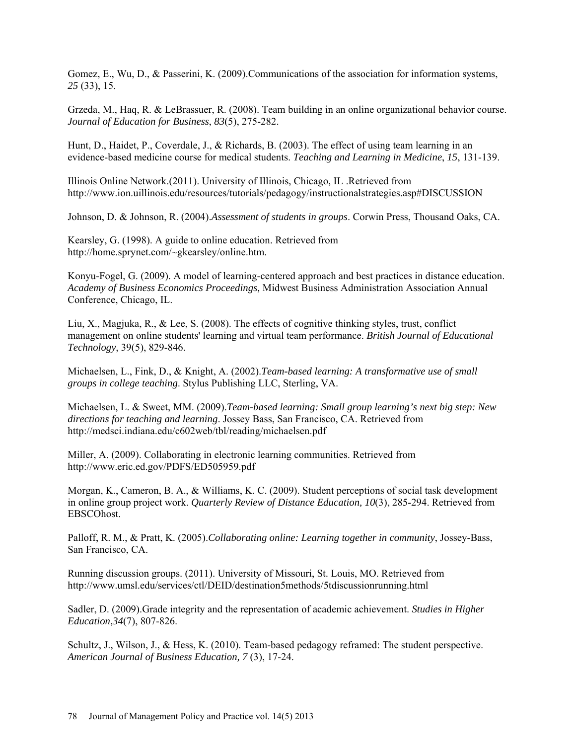Gomez, E., Wu, D., & Passerini, K. (2009).Communications of the association for information systems, *25* (33), 15.

Grzeda, M., Haq, R. & LeBrassuer, R. (2008). Team building in an online organizational behavior course. *Journal of Education for Business*, *83*(5), 275-282.

Hunt, D., Haidet, P., Coverdale, J., & Richards, B. (2003). The effect of using team learning in an evidence-based medicine course for medical students. *Teaching and Learning in Medicine*, *15*, 131-139.

Illinois Online Network.(2011). University of Illinois, Chicago, IL .Retrieved from <http://www.ion.uillinois.edu/resources/tutorials/pedagogy/instructionalstrategies.asp#DISCUSSION>

Johnson, D. & Johnson, R. (2004).*Assessment of students in groups*. Corwin Press, Thousand Oaks, CA.

Kearsley, G. (1998). A guide to online education. Retrieved from [http://home.sprynet.com/~gkearsley/online.htm.](http://home.sprynet.com/~gkearsley/online.htm)

Konyu-Fogel, G. (2009). A model of learning-centered approach and best practices in distance education. *Academy of Business Economics Proceedings,* Midwest Business Administration Association Annual Conference, Chicago, IL.

Liu, X., Magjuka, R., & Lee, S. (2008). The effects of cognitive thinking styles, trust, conflict management on online students' learning and virtual team performance. *British Journal of Educational Technology*, 39(5), 829-846.

Michaelsen, L., Fink, D., & Knight, A. (2002).*Team-based learning: A transformative use of small groups in college teaching*. Stylus Publishing LLC, Sterling, VA.

Michaelsen, L. & Sweet, MM. (2009).*Team-based learning: Small group learning's next big step: New directions for teaching and learning*. Jossey Bass, San Francisco, CA. Retrieved from <http://medsci.indiana.edu/c602web/tbl/reading/michaelsen.pdf>

Miller, A. (2009). Collaborating in electronic learning communities. Retrieved from <http://www.eric.ed.gov/PDFS/ED505959.pdf>

Morgan, K., Cameron, B. A., & Williams, K. C. (2009). Student perceptions of social task development in online group project work. *Quarterly Review of Distance Education, 10*(3), 285-294. Retrieved from EBSCOhost.

[Palloff,](http://www.google.com/search?tbo=p&tbm=bks&q=inauthor:%22Rena+M.+Palloff%22) R. M., & Pratt, K. (2005).*Collaborating online: Learning together in community*, Jossey-Bass, San Francisco, CA.

Running discussion groups. (2011). University of Missouri, St. Louis, MO. Retrieved from <http://www.umsl.edu/services/ctl/DEID/destination5methods/5tdiscussionrunning.html>

Sadler, D. (2009).Grade integrity and the representation of academic achievement. *Studies in Higher Education*,*34*(7), 807-826.

Schultz, J., Wilson, J., & Hess, K. (2010). Team-based pedagogy reframed: The student perspective. *American Journal of Business Education, 7* (3), 17-24.